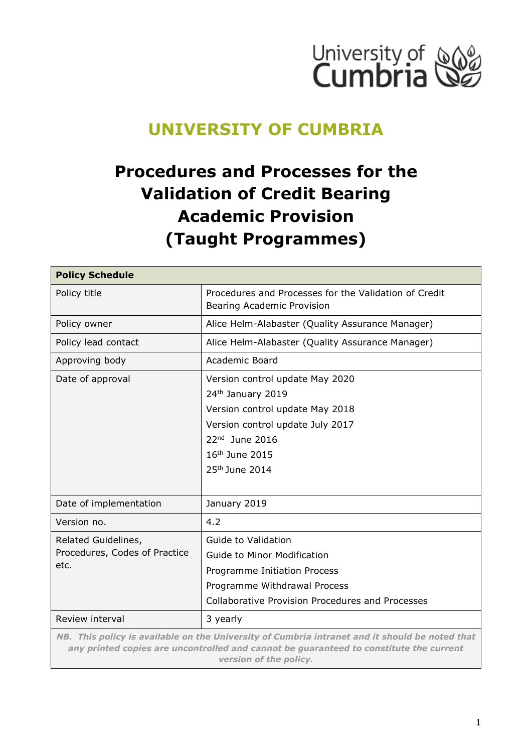

# **UNIVERSITY OF CUMBRIA**

# **Procedures and Processes for the Validation of Credit Bearing Academic Provision (Taught Programmes)**

| <b>Policy Schedule</b>                                                                                                                                                                                             |                                                                                                                                                                                                             |
|--------------------------------------------------------------------------------------------------------------------------------------------------------------------------------------------------------------------|-------------------------------------------------------------------------------------------------------------------------------------------------------------------------------------------------------------|
| Policy title                                                                                                                                                                                                       | Procedures and Processes for the Validation of Credit<br>Bearing Academic Provision                                                                                                                         |
| Policy owner                                                                                                                                                                                                       | Alice Helm-Alabaster (Quality Assurance Manager)                                                                                                                                                            |
| Policy lead contact                                                                                                                                                                                                | Alice Helm-Alabaster (Quality Assurance Manager)                                                                                                                                                            |
| Approving body                                                                                                                                                                                                     | Academic Board                                                                                                                                                                                              |
| Date of approval                                                                                                                                                                                                   | Version control update May 2020<br>24th January 2019<br>Version control update May 2018<br>Version control update July 2017<br>$22nd$ June 2016<br>16 <sup>th</sup> June 2015<br>25 <sup>th</sup> June 2014 |
| Date of implementation                                                                                                                                                                                             | January 2019                                                                                                                                                                                                |
| Version no.                                                                                                                                                                                                        | 4.2                                                                                                                                                                                                         |
| Related Guidelines,<br>Procedures, Codes of Practice<br>etc.                                                                                                                                                       | Guide to Validation<br><b>Guide to Minor Modification</b><br>Programme Initiation Process<br>Programme Withdrawal Process<br><b>Collaborative Provision Procedures and Processes</b>                        |
| Review interval                                                                                                                                                                                                    | 3 yearly                                                                                                                                                                                                    |
| NB. This policy is available on the University of Cumbria intranet and it should be noted that<br>any printed copies are uncontrolled and cannot be guaranteed to constitute the current<br>version of the policy. |                                                                                                                                                                                                             |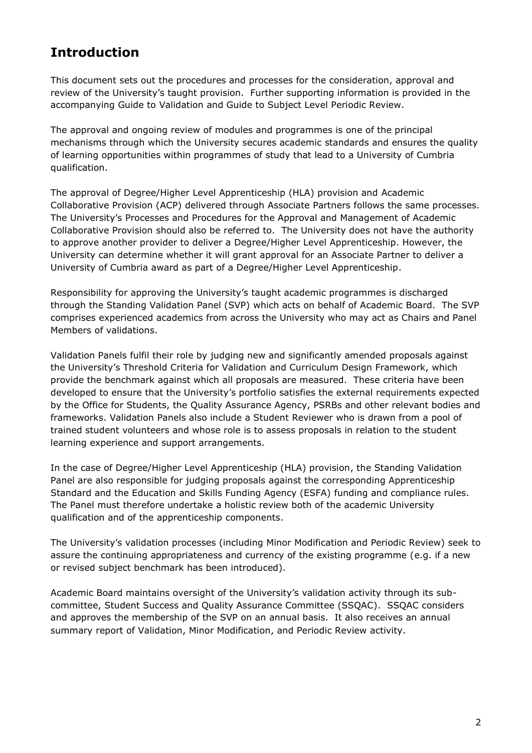### **Introduction**

This document sets out the procedures and processes for the consideration, approval and review of the University's taught provision. Further supporting information is provided in the accompanying Guide to Validation and Guide to Subject Level Periodic Review.

The approval and ongoing review of modules and programmes is one of the principal mechanisms through which the University secures academic standards and ensures the quality of learning opportunities within programmes of study that lead to a University of Cumbria qualification.

The approval of Degree/Higher Level Apprenticeship (HLA) provision and Academic Collaborative Provision (ACP) delivered through Associate Partners follows the same processes. The University's Processes and Procedures for the Approval and Management of Academic Collaborative Provision should also be referred to. The University does not have the authority to approve another provider to deliver a Degree/Higher Level Apprenticeship. However, the University can determine whether it will grant approval for an Associate Partner to deliver a University of Cumbria award as part of a Degree/Higher Level Apprenticeship.

Responsibility for approving the University's taught academic programmes is discharged through the Standing Validation Panel (SVP) which acts on behalf of Academic Board. The SVP comprises experienced academics from across the University who may act as Chairs and Panel Members of validations.

Validation Panels fulfil their role by judging new and significantly amended proposals against the University's Threshold Criteria for Validation and Curriculum Design Framework, which provide the benchmark against which all proposals are measured. These criteria have been developed to ensure that the University's portfolio satisfies the external requirements expected by the Office for Students, the Quality Assurance Agency, PSRBs and other relevant bodies and frameworks. Validation Panels also include a Student Reviewer who is drawn from a pool of trained student volunteers and whose role is to assess proposals in relation to the student learning experience and support arrangements.

In the case of Degree/Higher Level Apprenticeship (HLA) provision, the Standing Validation Panel are also responsible for judging proposals against the corresponding Apprenticeship Standard and the Education and Skills Funding Agency (ESFA) funding and compliance rules. The Panel must therefore undertake a holistic review both of the academic University qualification and of the apprenticeship components.

The University's validation processes (including Minor Modification and Periodic Review) seek to assure the continuing appropriateness and currency of the existing programme (e.g. if a new or revised subject benchmark has been introduced).

Academic Board maintains oversight of the University's validation activity through its subcommittee, Student Success and Quality Assurance Committee (SSQAC). SSQAC considers and approves the membership of the SVP on an annual basis. It also receives an annual summary report of Validation, Minor Modification, and Periodic Review activity.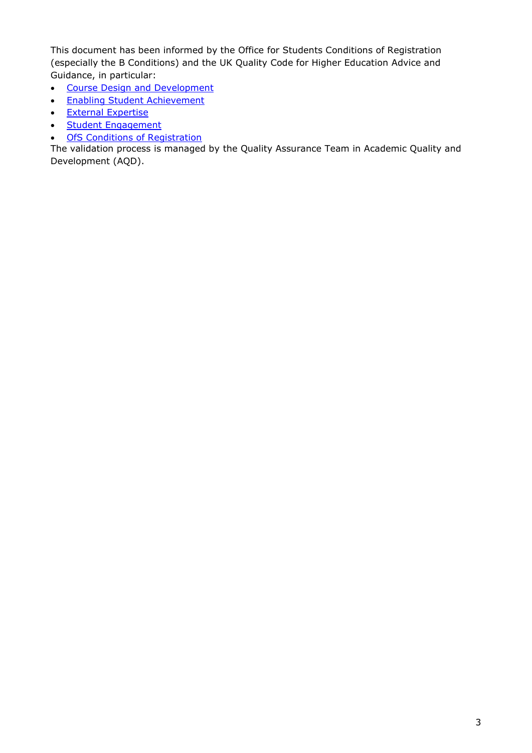This document has been informed by the Office for Students Conditions of Registration (especially the B Conditions) and the UK Quality Code for Higher Education Advice and Guidance, in particular:

- [Course Design and Development](https://www.qaa.ac.uk/docs/qaa/quality-code/advice-and-guidance-course-design-and-development.pdf?sfvrsn=d29c181_2)
- [Enabling Student Achievement](https://www.qaa.ac.uk/docs/qaa/quality-code/advice-and-guidance-enabling-student-achievement.pdf?sfvrsn=b12ac181_2)
- [External Expertise](https://www.qaa.ac.uk/docs/qaa/quality-code/advice-and-guidance-external-expertise.pdf?sfvrsn=6f2ac181_2)
- [Student Engagement](https://www.qaa.ac.uk/docs/qaa/quality-code/advice-and-guidance-student-engagement.pdf?sfvrsn=6224c181_2)
- **[OfS Conditions of Registration](https://www.officeforstudents.org.uk/advice-and-guidance/regulation/registration-with-the-ofs-a-guide/conditions-of-registration/)**

The validation process is managed by the Quality Assurance Team in Academic Quality and Development (AQD).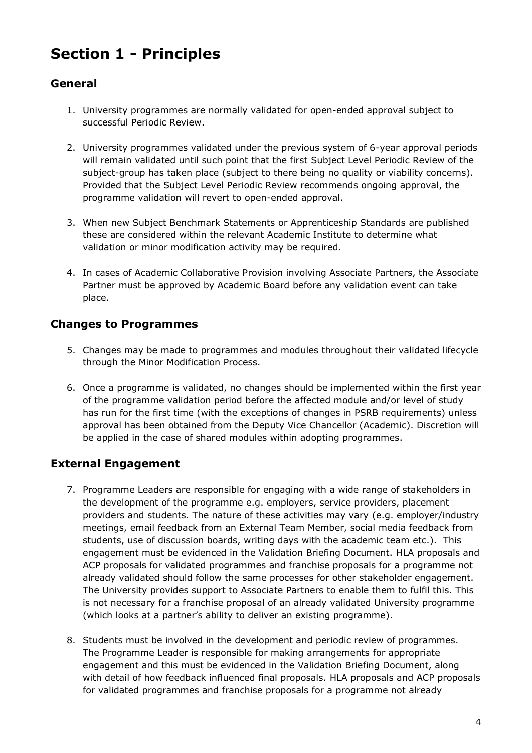# **Section 1 - Principles**

#### **General**

- 1. University programmes are normally validated for open-ended approval subject to successful Periodic Review.
- 2. University programmes validated under the previous system of 6-year approval periods will remain validated until such point that the first Subject Level Periodic Review of the subject-group has taken place (subject to there being no quality or viability concerns). Provided that the Subject Level Periodic Review recommends ongoing approval, the programme validation will revert to open-ended approval.
- 3. When new Subject Benchmark Statements or Apprenticeship Standards are published these are considered within the relevant Academic Institute to determine what validation or minor modification activity may be required.
- 4. In cases of Academic Collaborative Provision involving Associate Partners, the Associate Partner must be approved by Academic Board before any validation event can take place.

#### **Changes to Programmes**

- 5. Changes may be made to programmes and modules throughout their validated lifecycle through the Minor Modification Process.
- 6. Once a programme is validated, no changes should be implemented within the first year of the programme validation period before the affected module and/or level of study has run for the first time (with the exceptions of changes in PSRB requirements) unless approval has been obtained from the Deputy Vice Chancellor (Academic). Discretion will be applied in the case of shared modules within adopting programmes.

#### **External Engagement**

- 7. Programme Leaders are responsible for engaging with a wide range of stakeholders in the development of the programme e.g. employers, service providers, placement providers and students. The nature of these activities may vary (e.g. employer/industry meetings, email feedback from an External Team Member, social media feedback from students, use of discussion boards, writing days with the academic team etc.). This engagement must be evidenced in the Validation Briefing Document. HLA proposals and ACP proposals for validated programmes and franchise proposals for a programme not already validated should follow the same processes for other stakeholder engagement. The University provides support to Associate Partners to enable them to fulfil this. This is not necessary for a franchise proposal of an already validated University programme (which looks at a partner's ability to deliver an existing programme).
- 8. Students must be involved in the development and periodic review of programmes. The Programme Leader is responsible for making arrangements for appropriate engagement and this must be evidenced in the Validation Briefing Document, along with detail of how feedback influenced final proposals. HLA proposals and ACP proposals for validated programmes and franchise proposals for a programme not already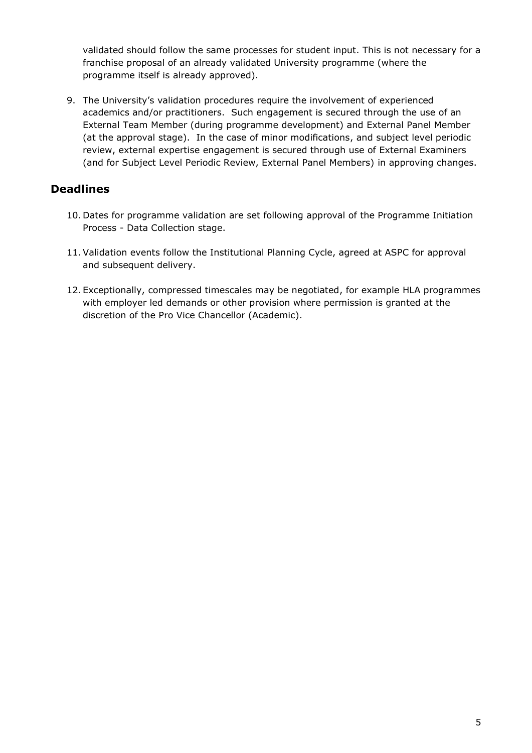validated should follow the same processes for student input. This is not necessary for a franchise proposal of an already validated University programme (where the programme itself is already approved).

9. The University's validation procedures require the involvement of experienced academics and/or practitioners. Such engagement is secured through the use of an External Team Member (during programme development) and External Panel Member (at the approval stage). In the case of minor modifications, and subject level periodic review, external expertise engagement is secured through use of External Examiners (and for Subject Level Periodic Review, External Panel Members) in approving changes.

#### **Deadlines**

- 10. Dates for programme validation are set following approval of the Programme Initiation Process - Data Collection stage.
- 11.Validation events follow the Institutional Planning Cycle, agreed at ASPC for approval and subsequent delivery.
- 12. Exceptionally, compressed timescales may be negotiated, for example HLA programmes with employer led demands or other provision where permission is granted at the discretion of the Pro Vice Chancellor (Academic).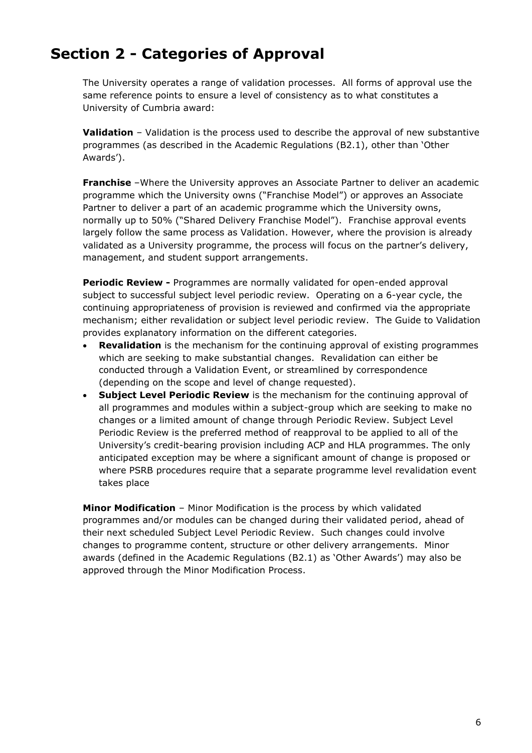# **Section 2 - Categories of Approval**

The University operates a range of validation processes. All forms of approval use the same reference points to ensure a level of consistency as to what constitutes a University of Cumbria award:

**Validation** – Validation is the process used to describe the approval of new substantive programmes (as described in the Academic Regulations (B2.1), other than 'Other Awards').

**Franchise** –Where the University approves an Associate Partner to deliver an academic programme which the University owns ("Franchise Model") or approves an Associate Partner to deliver a part of an academic programme which the University owns, normally up to 50% ("Shared Delivery Franchise Model"). Franchise approval events largely follow the same process as Validation. However, where the provision is already validated as a University programme, the process will focus on the partner's delivery, management, and student support arrangements.

**Periodic Review -** Programmes are normally validated for open-ended approval subject to successful subject level periodic review. Operating on a 6-year cycle, the continuing appropriateness of provision is reviewed and confirmed via the appropriate mechanism; either revalidation or subject level periodic review. The Guide to Validation provides explanatory information on the different categories.

- **Revalidation** is the mechanism for the continuing approval of existing programmes which are seeking to make substantial changes. Revalidation can either be conducted through a Validation Event, or streamlined by correspondence (depending on the scope and level of change requested).
- **Subject Level Periodic Review** is the mechanism for the continuing approval of all programmes and modules within a subject-group which are seeking to make no changes or a limited amount of change through Periodic Review. Subject Level Periodic Review is the preferred method of reapproval to be applied to all of the University's credit-bearing provision including ACP and HLA programmes. The only anticipated exception may be where a significant amount of change is proposed or where PSRB procedures require that a separate programme level revalidation event takes place

**Minor Modification** – Minor Modification is the process by which validated programmes and/or modules can be changed during their validated period, ahead of their next scheduled Subject Level Periodic Review. Such changes could involve changes to programme content, structure or other delivery arrangements. Minor awards (defined in the Academic Regulations (B2.1) as 'Other Awards') may also be approved through the Minor Modification Process.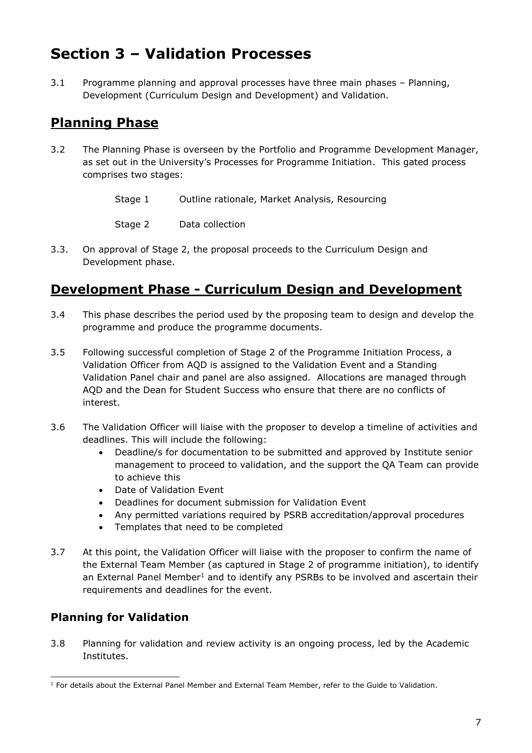# **Section 3 – Validation Processes**

3.1 Programme planning and approval processes have three main phases – Planning, Development (Curriculum Design and Development) and Validation.

### **Planning Phase**

- 3.2 The Planning Phase is overseen by the Portfolio and Programme Development Manager, as set out in the University's Processes for Programme Initiation. This gated process comprises two stages:
	- Stage 1 Outline rationale, Market Analysis, Resourcing

Stage 2 Data collection

3.3. On approval of Stage 2, the proposal proceeds to the Curriculum Design and Development phase.

### **Development Phase - Curriculum Design and Development**

- 3.4 This phase describes the period used by the proposing team to design and develop the programme and produce the programme documents.
- 3.5 Following successful completion of Stage 2 of the Programme Initiation Process, a Validation Officer from AQD is assigned to the Validation Event and a Standing Validation Panel chair and panel are also assigned. Allocations are managed through AQD and the Dean for Student Success who ensure that there are no conflicts of interest.
- 3.6 The Validation Officer will liaise with the proposer to develop a timeline of activities and deadlines. This will include the following:
	- Deadline/s for documentation to be submitted and approved by Institute senior management to proceed to validation, and the support the QA Team can provide to achieve this
	- Date of Validation Event
	- Deadlines for document submission for Validation Event
	- Any permitted variations required by PSRB accreditation/approval procedures
	- Templates that need to be completed
- 3.7 At this point, the Validation Officer will liaise with the proposer to confirm the name of the External Team Member (as captured in Stage 2 of programme initiation), to identify an External Panel Member<sup>1</sup> and to identify any PSRBs to be involved and ascertain their requirements and deadlines for the event.

#### **Planning for Validation**

3.8 Planning for validation and review activity is an ongoing process, led by the Academic Institutes.

 $1$  For details about the External Panel Member and External Team Member, refer to the Guide to Validation.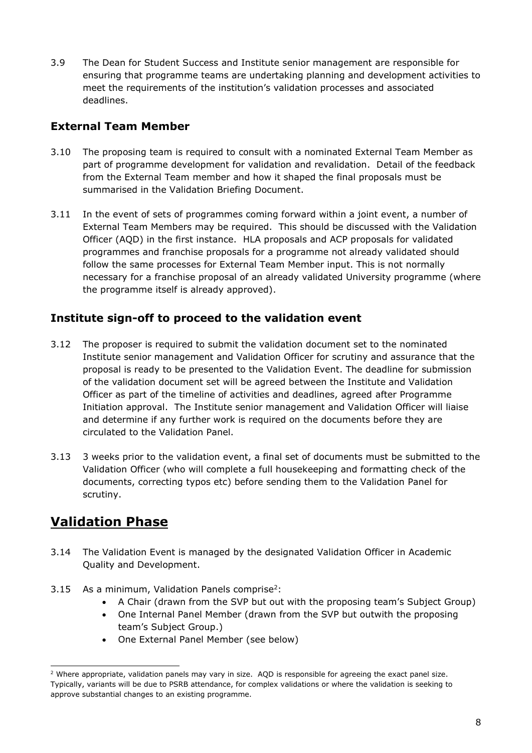3.9 The Dean for Student Success and Institute senior management are responsible for ensuring that programme teams are undertaking planning and development activities to meet the requirements of the institution's validation processes and associated deadlines.

#### **External Team Member**

- 3.10 The proposing team is required to consult with a nominated External Team Member as part of programme development for validation and revalidation. Detail of the feedback from the External Team member and how it shaped the final proposals must be summarised in the Validation Briefing Document.
- 3.11 In the event of sets of programmes coming forward within a joint event, a number of External Team Members may be required. This should be discussed with the Validation Officer (AQD) in the first instance. HLA proposals and ACP proposals for validated programmes and franchise proposals for a programme not already validated should follow the same processes for External Team Member input. This is not normally necessary for a franchise proposal of an already validated University programme (where the programme itself is already approved).

#### **Institute sign-off to proceed to the validation event**

- 3.12 The proposer is required to submit the validation document set to the nominated Institute senior management and Validation Officer for scrutiny and assurance that the proposal is ready to be presented to the Validation Event. The deadline for submission of the validation document set will be agreed between the Institute and Validation Officer as part of the timeline of activities and deadlines, agreed after Programme Initiation approval. The Institute senior management and Validation Officer will liaise and determine if any further work is required on the documents before they are circulated to the Validation Panel.
- 3.13 3 weeks prior to the validation event, a final set of documents must be submitted to the Validation Officer (who will complete a full housekeeping and formatting check of the documents, correcting typos etc) before sending them to the Validation Panel for scrutiny.

### **Validation Phase**

- 3.14 The Validation Event is managed by the designated Validation Officer in Academic Quality and Development.
- 3.15 As a minimum, Validation Panels comprise<sup>2</sup>:
	- A Chair (drawn from the SVP but out with the proposing team's Subject Group)
	- One Internal Panel Member (drawn from the SVP but outwith the proposing team's Subject Group.)
	- One External Panel Member (see below)

<sup>&</sup>lt;sup>2</sup> Where appropriate, validation panels may vary in size. AQD is responsible for agreeing the exact panel size. Typically, variants will be due to PSRB attendance, for complex validations or where the validation is seeking to approve substantial changes to an existing programme.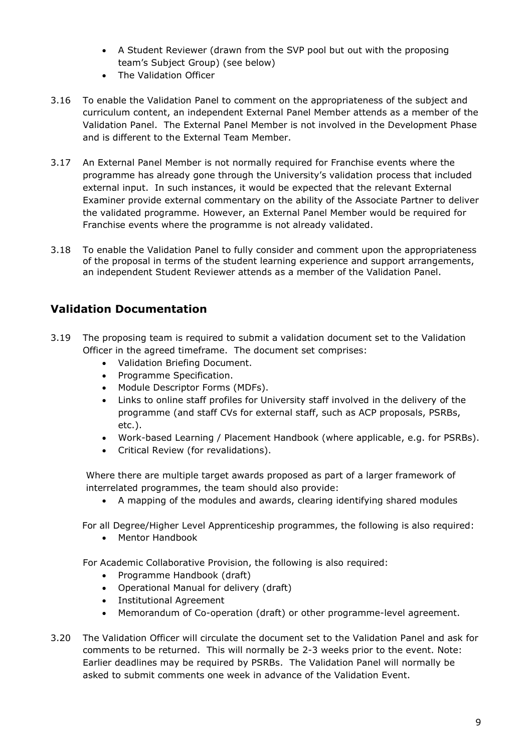- A Student Reviewer (drawn from the SVP pool but out with the proposing team's Subject Group) (see below)
- The Validation Officer
- 3.16 To enable the Validation Panel to comment on the appropriateness of the subject and curriculum content, an independent External Panel Member attends as a member of the Validation Panel. The External Panel Member is not involved in the Development Phase and is different to the External Team Member.
- 3.17 An External Panel Member is not normally required for Franchise events where the programme has already gone through the University's validation process that included external input. In such instances, it would be expected that the relevant External Examiner provide external commentary on the ability of the Associate Partner to deliver the validated programme. However, an External Panel Member would be required for Franchise events where the programme is not already validated.
- 3.18 To enable the Validation Panel to fully consider and comment upon the appropriateness of the proposal in terms of the student learning experience and support arrangements, an independent Student Reviewer attends as a member of the Validation Panel.

#### **Validation Documentation**

- 3.19 The proposing team is required to submit a validation document set to the Validation Officer in the agreed timeframe. The document set comprises:
	- Validation Briefing Document.
	- Programme Specification.
	- Module Descriptor Forms (MDFs).
	- Links to online staff profiles for University staff involved in the delivery of the programme (and staff CVs for external staff, such as ACP proposals, PSRBs, etc.).
	- Work-based Learning / Placement Handbook (where applicable, e.g. for PSRBs).
	- Critical Review (for revalidations).

Where there are multiple target awards proposed as part of a larger framework of interrelated programmes, the team should also provide:

• A mapping of the modules and awards, clearing identifying shared modules

For all Degree/Higher Level Apprenticeship programmes, the following is also required:

• Mentor Handbook

For Academic Collaborative Provision, the following is also required:

- Programme Handbook (draft)
- Operational Manual for delivery (draft)
- Institutional Agreement
- Memorandum of Co-operation (draft) or other programme-level agreement.
- 3.20 The Validation Officer will circulate the document set to the Validation Panel and ask for comments to be returned. This will normally be 2-3 weeks prior to the event. Note: Earlier deadlines may be required by PSRBs. The Validation Panel will normally be asked to submit comments one week in advance of the Validation Event.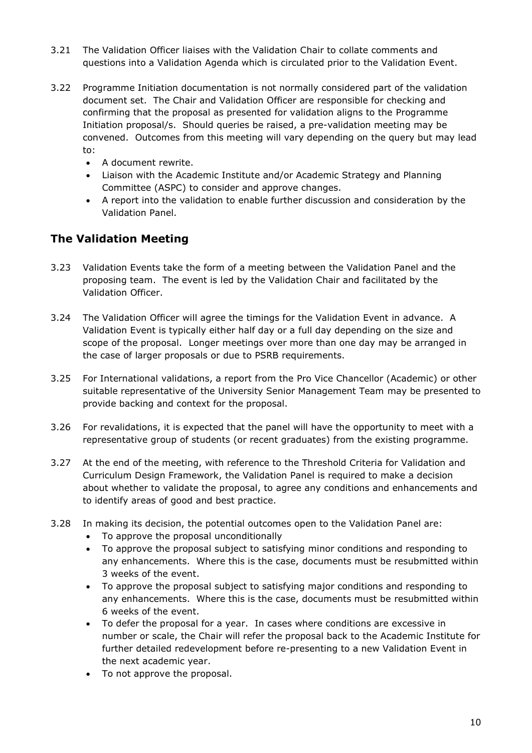- 3.21 The Validation Officer liaises with the Validation Chair to collate comments and questions into a Validation Agenda which is circulated prior to the Validation Event.
- 3.22 Programme Initiation documentation is not normally considered part of the validation document set. The Chair and Validation Officer are responsible for checking and confirming that the proposal as presented for validation aligns to the Programme Initiation proposal/s. Should queries be raised, a pre-validation meeting may be convened. Outcomes from this meeting will vary depending on the query but may lead to:
	- A document rewrite.
	- Liaison with the Academic Institute and/or Academic Strategy and Planning Committee (ASPC) to consider and approve changes.
	- A report into the validation to enable further discussion and consideration by the Validation Panel.

#### **The Validation Meeting**

- 3.23 Validation Events take the form of a meeting between the Validation Panel and the proposing team. The event is led by the Validation Chair and facilitated by the Validation Officer.
- 3.24 The Validation Officer will agree the timings for the Validation Event in advance. A Validation Event is typically either half day or a full day depending on the size and scope of the proposal. Longer meetings over more than one day may be arranged in the case of larger proposals or due to PSRB requirements.
- 3.25 For International validations, a report from the Pro Vice Chancellor (Academic) or other suitable representative of the University Senior Management Team may be presented to provide backing and context for the proposal.
- 3.26 For revalidations, it is expected that the panel will have the opportunity to meet with a representative group of students (or recent graduates) from the existing programme.
- 3.27 At the end of the meeting, with reference to the Threshold Criteria for Validation and Curriculum Design Framework, the Validation Panel is required to make a decision about whether to validate the proposal, to agree any conditions and enhancements and to identify areas of good and best practice.
- 3.28 In making its decision, the potential outcomes open to the Validation Panel are:
	- To approve the proposal unconditionally
	- To approve the proposal subject to satisfying minor conditions and responding to any enhancements. Where this is the case, documents must be resubmitted within 3 weeks of the event.
	- To approve the proposal subject to satisfying major conditions and responding to any enhancements. Where this is the case, documents must be resubmitted within 6 weeks of the event.
	- To defer the proposal for a year. In cases where conditions are excessive in number or scale, the Chair will refer the proposal back to the Academic Institute for further detailed redevelopment before re-presenting to a new Validation Event in the next academic year.
	- To not approve the proposal.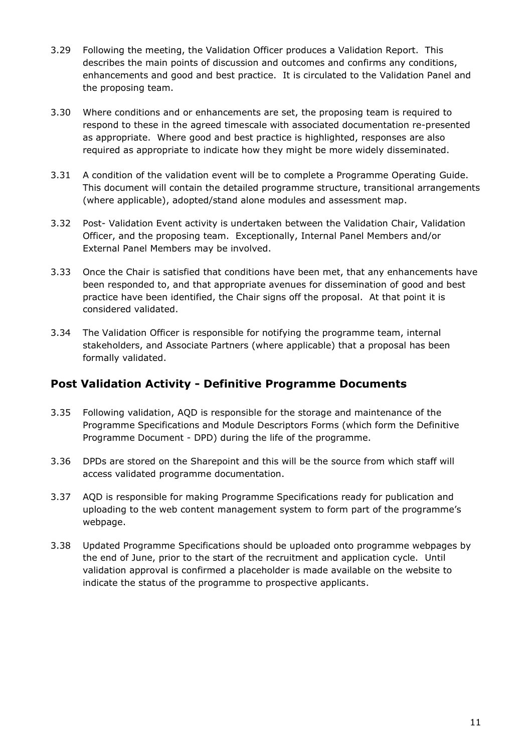- 3.29 Following the meeting, the Validation Officer produces a Validation Report. This describes the main points of discussion and outcomes and confirms any conditions, enhancements and good and best practice. It is circulated to the Validation Panel and the proposing team.
- 3.30 Where conditions and or enhancements are set, the proposing team is required to respond to these in the agreed timescale with associated documentation re-presented as appropriate. Where good and best practice is highlighted, responses are also required as appropriate to indicate how they might be more widely disseminated.
- 3.31 A condition of the validation event will be to complete a Programme Operating Guide. This document will contain the detailed programme structure, transitional arrangements (where applicable), adopted/stand alone modules and assessment map.
- 3.32 Post- Validation Event activity is undertaken between the Validation Chair, Validation Officer, and the proposing team. Exceptionally, Internal Panel Members and/or External Panel Members may be involved.
- 3.33 Once the Chair is satisfied that conditions have been met, that any enhancements have been responded to, and that appropriate avenues for dissemination of good and best practice have been identified, the Chair signs off the proposal. At that point it is considered validated.
- 3.34 The Validation Officer is responsible for notifying the programme team, internal stakeholders, and Associate Partners (where applicable) that a proposal has been formally validated.

#### **Post Validation Activity - Definitive Programme Documents**

- 3.35 Following validation, AQD is responsible for the storage and maintenance of the Programme Specifications and Module Descriptors Forms (which form the Definitive Programme Document - DPD) during the life of the programme.
- 3.36 DPDs are stored on the Sharepoint and this will be the source from which staff will access validated programme documentation.
- 3.37 AQD is responsible for making Programme Specifications ready for publication and uploading to the web content management system to form part of the programme's webpage.
- 3.38 Updated Programme Specifications should be uploaded onto programme webpages by the end of June, prior to the start of the recruitment and application cycle. Until validation approval is confirmed a placeholder is made available on the website to indicate the status of the programme to prospective applicants.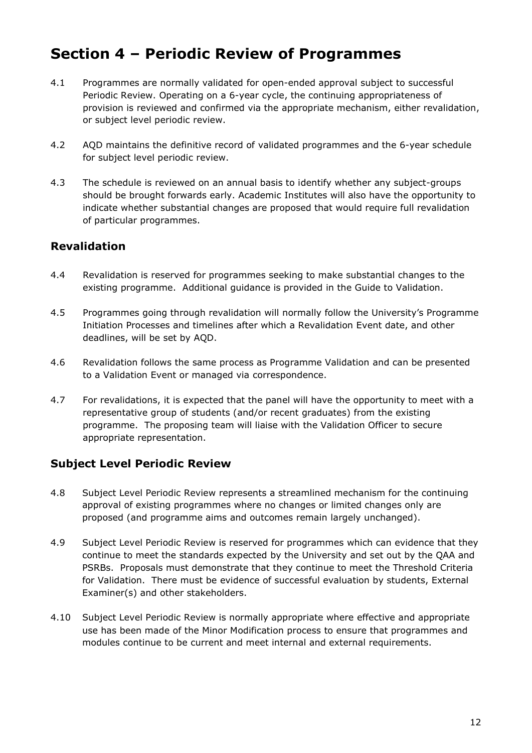### **Section 4 – Periodic Review of Programmes**

- 4.1 Programmes are normally validated for open-ended approval subject to successful Periodic Review. Operating on a 6-year cycle, the continuing appropriateness of provision is reviewed and confirmed via the appropriate mechanism, either revalidation, or subject level periodic review.
- 4.2 AQD maintains the definitive record of validated programmes and the 6-year schedule for subject level periodic review.
- 4.3 The schedule is reviewed on an annual basis to identify whether any subject-groups should be brought forwards early. Academic Institutes will also have the opportunity to indicate whether substantial changes are proposed that would require full revalidation of particular programmes.

#### **Revalidation**

- 4.4 Revalidation is reserved for programmes seeking to make substantial changes to the existing programme. Additional guidance is provided in the Guide to Validation.
- 4.5 Programmes going through revalidation will normally follow the University's Programme Initiation Processes and timelines after which a Revalidation Event date, and other deadlines, will be set by AQD.
- 4.6 Revalidation follows the same process as Programme Validation and can be presented to a Validation Event or managed via correspondence.
- 4.7 For revalidations, it is expected that the panel will have the opportunity to meet with a representative group of students (and/or recent graduates) from the existing programme. The proposing team will liaise with the Validation Officer to secure appropriate representation.

#### **Subject Level Periodic Review**

- 4.8 Subject Level Periodic Review represents a streamlined mechanism for the continuing approval of existing programmes where no changes or limited changes only are proposed (and programme aims and outcomes remain largely unchanged).
- 4.9 Subject Level Periodic Review is reserved for programmes which can evidence that they continue to meet the standards expected by the University and set out by the QAA and PSRBs. Proposals must demonstrate that they continue to meet the Threshold Criteria for Validation. There must be evidence of successful evaluation by students, External Examiner(s) and other stakeholders.
- 4.10 Subject Level Periodic Review is normally appropriate where effective and appropriate use has been made of the Minor Modification process to ensure that programmes and modules continue to be current and meet internal and external requirements.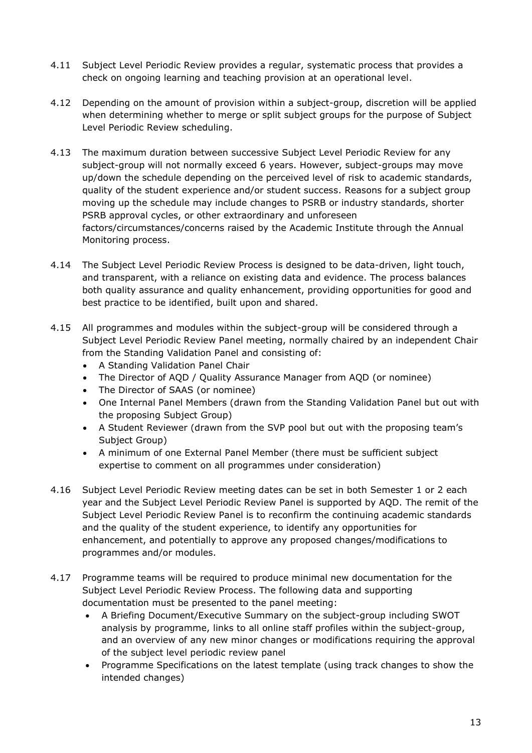- 4.11 Subject Level Periodic Review provides a regular, systematic process that provides a check on ongoing learning and teaching provision at an operational level.
- 4.12 Depending on the amount of provision within a subject-group, discretion will be applied when determining whether to merge or split subject groups for the purpose of Subject Level Periodic Review scheduling.
- 4.13 The maximum duration between successive Subject Level Periodic Review for any subject-group will not normally exceed 6 years. However, subject-groups may move up/down the schedule depending on the perceived level of risk to academic standards, quality of the student experience and/or student success. Reasons for a subject group moving up the schedule may include changes to PSRB or industry standards, shorter PSRB approval cycles, or other extraordinary and unforeseen factors/circumstances/concerns raised by the Academic Institute through the Annual Monitoring process.
- 4.14 The Subject Level Periodic Review Process is designed to be data-driven, light touch, and transparent, with a reliance on existing data and evidence. The process balances both quality assurance and quality enhancement, providing opportunities for good and best practice to be identified, built upon and shared.
- 4.15 All programmes and modules within the subject-group will be considered through a Subject Level Periodic Review Panel meeting, normally chaired by an independent Chair from the Standing Validation Panel and consisting of:
	- A Standing Validation Panel Chair
	- The Director of AQD / Quality Assurance Manager from AQD (or nominee)
	- The Director of SAAS (or nominee)
	- One Internal Panel Members (drawn from the Standing Validation Panel but out with the proposing Subject Group)
	- A Student Reviewer (drawn from the SVP pool but out with the proposing team's Subject Group)
	- A minimum of one External Panel Member (there must be sufficient subject expertise to comment on all programmes under consideration)
- 4.16 Subject Level Periodic Review meeting dates can be set in both Semester 1 or 2 each year and the Subject Level Periodic Review Panel is supported by AQD. The remit of the Subject Level Periodic Review Panel is to reconfirm the continuing academic standards and the quality of the student experience, to identify any opportunities for enhancement, and potentially to approve any proposed changes/modifications to programmes and/or modules.
- 4.17 Programme teams will be required to produce minimal new documentation for the Subject Level Periodic Review Process. The following data and supporting documentation must be presented to the panel meeting:
	- A Briefing Document/Executive Summary on the subject-group including SWOT analysis by programme, links to all online staff profiles within the subject-group, and an overview of any new minor changes or modifications requiring the approval of the subject level periodic review panel
	- Programme Specifications on the latest template (using track changes to show the intended changes)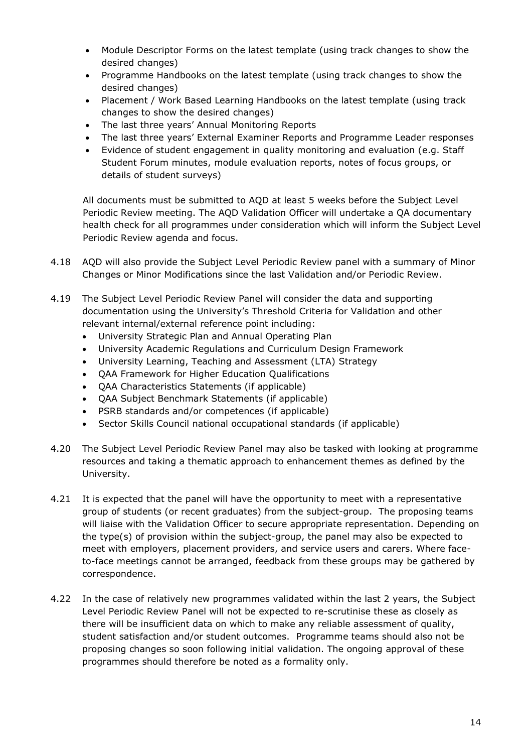- Module Descriptor Forms on the latest template (using track changes to show the desired changes)
- Programme Handbooks on the latest template (using track changes to show the desired changes)
- Placement / Work Based Learning Handbooks on the latest template (using track changes to show the desired changes)
- The last three years' Annual Monitoring Reports
- The last three years' External Examiner Reports and Programme Leader responses
- Evidence of student engagement in quality monitoring and evaluation (e.g. Staff Student Forum minutes, module evaluation reports, notes of focus groups, or details of student surveys)

All documents must be submitted to AQD at least 5 weeks before the Subject Level Periodic Review meeting. The AQD Validation Officer will undertake a QA documentary health check for all programmes under consideration which will inform the Subject Level Periodic Review agenda and focus.

- 4.18 AQD will also provide the Subject Level Periodic Review panel with a summary of Minor Changes or Minor Modifications since the last Validation and/or Periodic Review.
- 4.19 The Subject Level Periodic Review Panel will consider the data and supporting documentation using the University's Threshold Criteria for Validation and other relevant internal/external reference point including:
	- University Strategic Plan and Annual Operating Plan
	- University Academic Regulations and Curriculum Design Framework
	- University Learning, Teaching and Assessment (LTA) Strategy
	- QAA Framework for Higher Education Qualifications
	- QAA Characteristics Statements (if applicable)
	- QAA Subject Benchmark Statements (if applicable)
	- PSRB standards and/or competences (if applicable)
	- Sector Skills Council national occupational standards (if applicable)
- 4.20 The Subject Level Periodic Review Panel may also be tasked with looking at programme resources and taking a thematic approach to enhancement themes as defined by the University.
- 4.21 It is expected that the panel will have the opportunity to meet with a representative group of students (or recent graduates) from the subject-group. The proposing teams will liaise with the Validation Officer to secure appropriate representation. Depending on the type(s) of provision within the subject-group, the panel may also be expected to meet with employers, placement providers, and service users and carers. Where faceto-face meetings cannot be arranged, feedback from these groups may be gathered by correspondence.
- 4.22 In the case of relatively new programmes validated within the last 2 years, the Subject Level Periodic Review Panel will not be expected to re-scrutinise these as closely as there will be insufficient data on which to make any reliable assessment of quality, student satisfaction and/or student outcomes. Programme teams should also not be proposing changes so soon following initial validation. The ongoing approval of these programmes should therefore be noted as a formality only.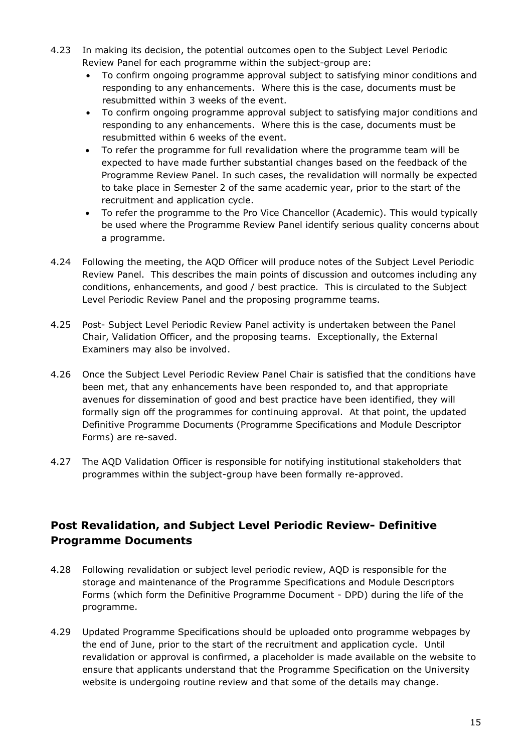- 4.23 In making its decision, the potential outcomes open to the Subject Level Periodic Review Panel for each programme within the subject-group are:
	- To confirm ongoing programme approval subject to satisfying minor conditions and responding to any enhancements. Where this is the case, documents must be resubmitted within 3 weeks of the event.
	- To confirm ongoing programme approval subject to satisfying major conditions and responding to any enhancements. Where this is the case, documents must be resubmitted within 6 weeks of the event.
	- To refer the programme for full revalidation where the programme team will be expected to have made further substantial changes based on the feedback of the Programme Review Panel. In such cases, the revalidation will normally be expected to take place in Semester 2 of the same academic year, prior to the start of the recruitment and application cycle.
	- To refer the programme to the Pro Vice Chancellor (Academic). This would typically be used where the Programme Review Panel identify serious quality concerns about a programme.
- 4.24 Following the meeting, the AQD Officer will produce notes of the Subject Level Periodic Review Panel. This describes the main points of discussion and outcomes including any conditions, enhancements, and good / best practice. This is circulated to the Subject Level Periodic Review Panel and the proposing programme teams.
- 4.25 Post- Subject Level Periodic Review Panel activity is undertaken between the Panel Chair, Validation Officer, and the proposing teams. Exceptionally, the External Examiners may also be involved.
- 4.26 Once the Subject Level Periodic Review Panel Chair is satisfied that the conditions have been met, that any enhancements have been responded to, and that appropriate avenues for dissemination of good and best practice have been identified, they will formally sign off the programmes for continuing approval. At that point, the updated Definitive Programme Documents (Programme Specifications and Module Descriptor Forms) are re-saved.
- 4.27 The AQD Validation Officer is responsible for notifying institutional stakeholders that programmes within the subject-group have been formally re-approved.

#### **Post Revalidation, and Subject Level Periodic Review- Definitive Programme Documents**

- 4.28 Following revalidation or subject level periodic review, AQD is responsible for the storage and maintenance of the Programme Specifications and Module Descriptors Forms (which form the Definitive Programme Document - DPD) during the life of the programme.
- 4.29 Updated Programme Specifications should be uploaded onto programme webpages by the end of June, prior to the start of the recruitment and application cycle. Until revalidation or approval is confirmed, a placeholder is made available on the website to ensure that applicants understand that the Programme Specification on the University website is undergoing routine review and that some of the details may change.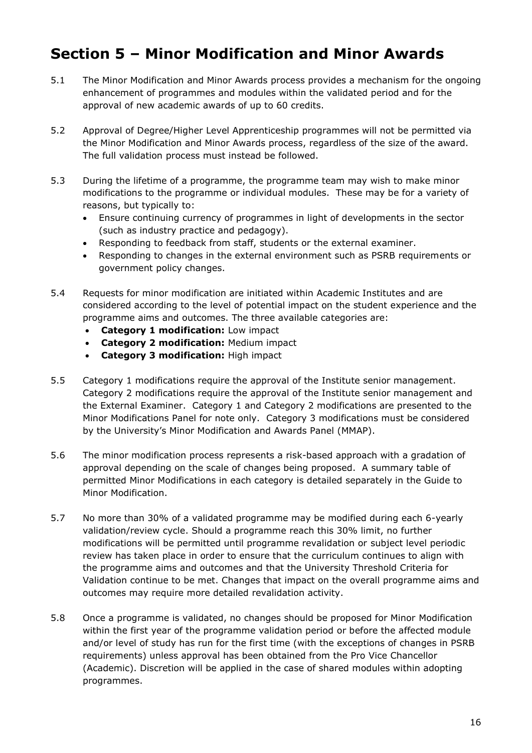# **Section 5 – Minor Modification and Minor Awards**

- 5.1 The Minor Modification and Minor Awards process provides a mechanism for the ongoing enhancement of programmes and modules within the validated period and for the approval of new academic awards of up to 60 credits.
- 5.2 Approval of Degree/Higher Level Apprenticeship programmes will not be permitted via the Minor Modification and Minor Awards process, regardless of the size of the award. The full validation process must instead be followed.
- 5.3 During the lifetime of a programme, the programme team may wish to make minor modifications to the programme or individual modules. These may be for a variety of reasons, but typically to:
	- Ensure continuing currency of programmes in light of developments in the sector (such as industry practice and pedagogy).
	- Responding to feedback from staff, students or the external examiner.
	- Responding to changes in the external environment such as PSRB requirements or government policy changes.
- 5.4 Requests for minor modification are initiated within Academic Institutes and are considered according to the level of potential impact on the student experience and the programme aims and outcomes. The three available categories are:
	- **Category 1 modification:** Low impact
	- **Category 2 modification:** Medium impact
	- **Category 3 modification:** High impact
- 5.5 Category 1 modifications require the approval of the Institute senior management. Category 2 modifications require the approval of the Institute senior management and the External Examiner. Category 1 and Category 2 modifications are presented to the Minor Modifications Panel for note only. Category 3 modifications must be considered by the University's Minor Modification and Awards Panel (MMAP).
- 5.6 The minor modification process represents a risk-based approach with a gradation of approval depending on the scale of changes being proposed. A summary table of permitted Minor Modifications in each category is detailed separately in the Guide to Minor Modification.
- 5.7 No more than 30% of a validated programme may be modified during each 6-yearly validation/review cycle. Should a programme reach this 30% limit, no further modifications will be permitted until programme revalidation or subject level periodic review has taken place in order to ensure that the curriculum continues to align with the programme aims and outcomes and that the University Threshold Criteria for Validation continue to be met. Changes that impact on the overall programme aims and outcomes may require more detailed revalidation activity.
- 5.8 Once a programme is validated, no changes should be proposed for Minor Modification within the first year of the programme validation period or before the affected module and/or level of study has run for the first time (with the exceptions of changes in PSRB requirements) unless approval has been obtained from the Pro Vice Chancellor (Academic). Discretion will be applied in the case of shared modules within adopting programmes.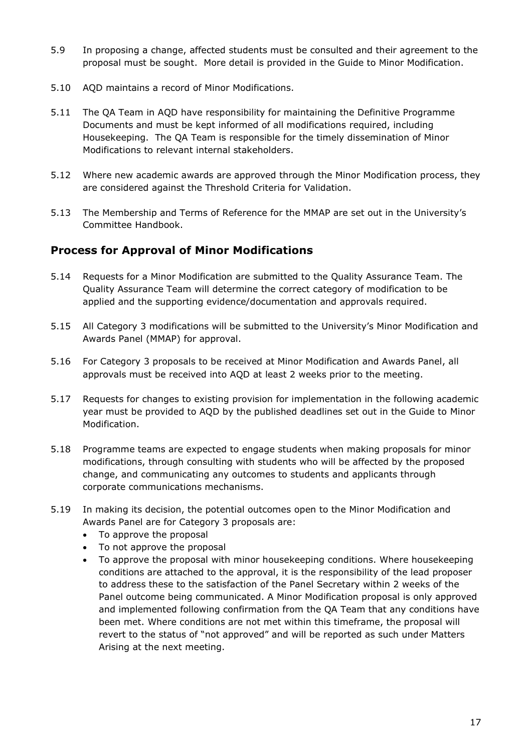- 5.9 In proposing a change, affected students must be consulted and their agreement to the proposal must be sought. More detail is provided in the Guide to Minor Modification.
- 5.10 AQD maintains a record of Minor Modifications.
- 5.11 The QA Team in AQD have responsibility for maintaining the Definitive Programme Documents and must be kept informed of all modifications required, including Housekeeping. The QA Team is responsible for the timely dissemination of Minor Modifications to relevant internal stakeholders.
- 5.12 Where new academic awards are approved through the Minor Modification process, they are considered against the Threshold Criteria for Validation.
- 5.13 The Membership and Terms of Reference for the MMAP are set out in the University's Committee Handbook.

#### **Process for Approval of Minor Modifications**

- 5.14 Requests for a Minor Modification are submitted to the Quality Assurance Team. The Quality Assurance Team will determine the correct category of modification to be applied and the supporting evidence/documentation and approvals required.
- 5.15 All Category 3 modifications will be submitted to the University's Minor Modification and Awards Panel (MMAP) for approval.
- 5.16 For Category 3 proposals to be received at Minor Modification and Awards Panel, all approvals must be received into AQD at least 2 weeks prior to the meeting.
- 5.17 Requests for changes to existing provision for implementation in the following academic year must be provided to AQD by the published deadlines set out in the Guide to Minor Modification.
- 5.18 Programme teams are expected to engage students when making proposals for minor modifications, through consulting with students who will be affected by the proposed change, and communicating any outcomes to students and applicants through corporate communications mechanisms.
- 5.19 In making its decision, the potential outcomes open to the Minor Modification and Awards Panel are for Category 3 proposals are:
	- To approve the proposal
	- To not approve the proposal
	- To approve the proposal with minor housekeeping conditions. Where housekeeping conditions are attached to the approval, it is the responsibility of the lead proposer to address these to the satisfaction of the Panel Secretary within 2 weeks of the Panel outcome being communicated. A Minor Modification proposal is only approved and implemented following confirmation from the QA Team that any conditions have been met. Where conditions are not met within this timeframe, the proposal will revert to the status of "not approved" and will be reported as such under Matters Arising at the next meeting.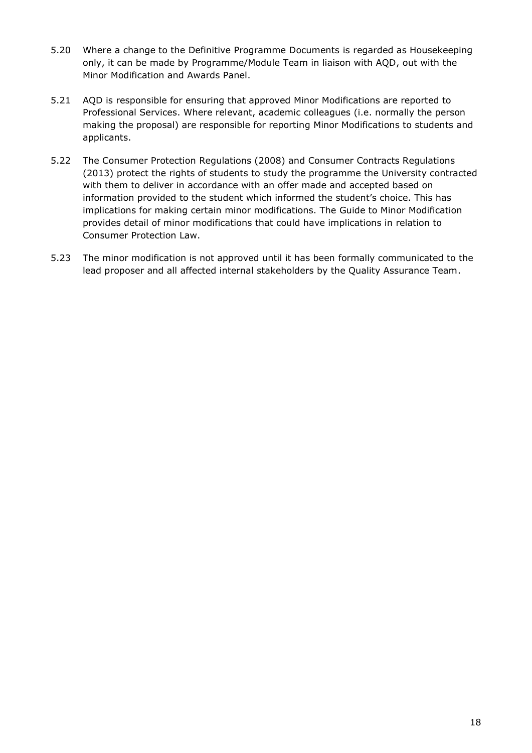- 5.20 Where a change to the Definitive Programme Documents is regarded as Housekeeping only, it can be made by Programme/Module Team in liaison with AQD, out with the Minor Modification and Awards Panel.
- 5.21 AQD is responsible for ensuring that approved Minor Modifications are reported to Professional Services. Where relevant, academic colleagues (i.e. normally the person making the proposal) are responsible for reporting Minor Modifications to students and applicants.
- 5.22 The Consumer Protection Regulations (2008) and Consumer Contracts Regulations (2013) protect the rights of students to study the programme the University contracted with them to deliver in accordance with an offer made and accepted based on information provided to the student which informed the student's choice. This has implications for making certain minor modifications. The Guide to Minor Modification provides detail of minor modifications that could have implications in relation to Consumer Protection Law.
- 5.23 The minor modification is not approved until it has been formally communicated to the lead proposer and all affected internal stakeholders by the Quality Assurance Team.